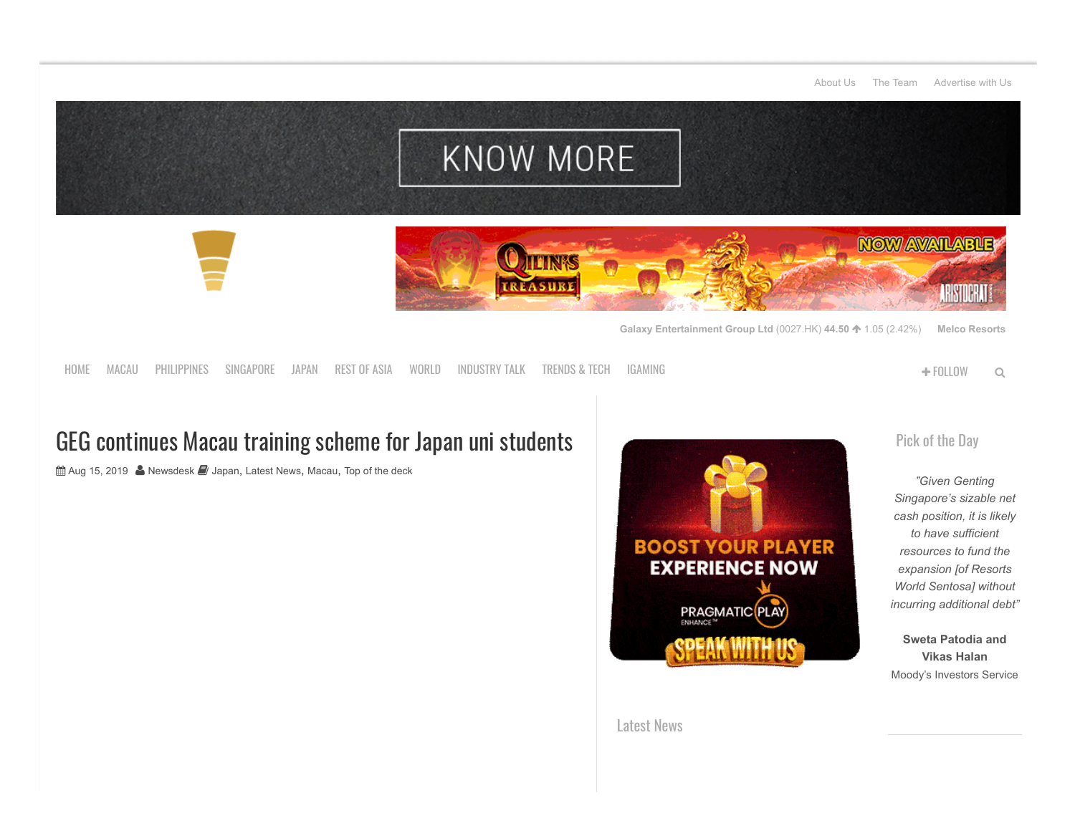#### [About Us](https://www.ggrasia.com/about-us/) [The Team](https://www.ggrasia.com/the-team/) [Advertise with Us](https://www.ggrasia.com/advertise-with-us/)



[HOME](http://www.ggrasia.com/) [MACAU](https://www.ggrasia.com/category/latest-news/macau/) [PHILIPPINES](https://www.ggrasia.com/category/latest-news/philippines/) [SINGAPORE](https://www.ggrasia.com/category/latest-news/singapore/) [JAPAN](https://www.ggrasia.com/category/latest-news/japan/) [REST](https://www.ggrasia.com/category/latest-news/rest-of-asia/) OF ASIA [WORLD](https://www.ggrasia.com/category/latest-news/world/) [INDUSTRY](https://www.ggrasia.com/category/latest-news/industry-talk/) TALK [TRENDS](https://www.ggrasia.com/category/latest-news/trends-tech/) & TECH [IGAMING](https://www.ggrasia.com/category/igaming/) FOLLOW

# GEG continues Macau training scheme for Japan uni students

 $\hat{m}$  Aug 15, 2019 **A** [Newsdesk](https://www.ggrasia.com/author/newsdesk/) *I* [Japan](https://www.ggrasia.com/category/latest-news/japan/), [Latest News](https://www.ggrasia.com/category/latest-news/), [Macau](https://www.ggrasia.com/category/latest-news/macau/), [Top of the deck](https://www.ggrasia.com/category/latest-news/top-of-the-deck/)



[Pick](https://www.ggrasia.com/no-debt-needed-to-fund-rws-expansion-moodys/) of the Day

*"Given Genting Singapore's sizable net cash position, it is likely to have sufficient resources to fund the expansion [of Resorts World Sentosa] without incurring additional debt"*

**Sweta Patodia and Vikas Halan** Moody's Investors Service

[Latest](http://www.ggrasia.com/category/latest-news/) News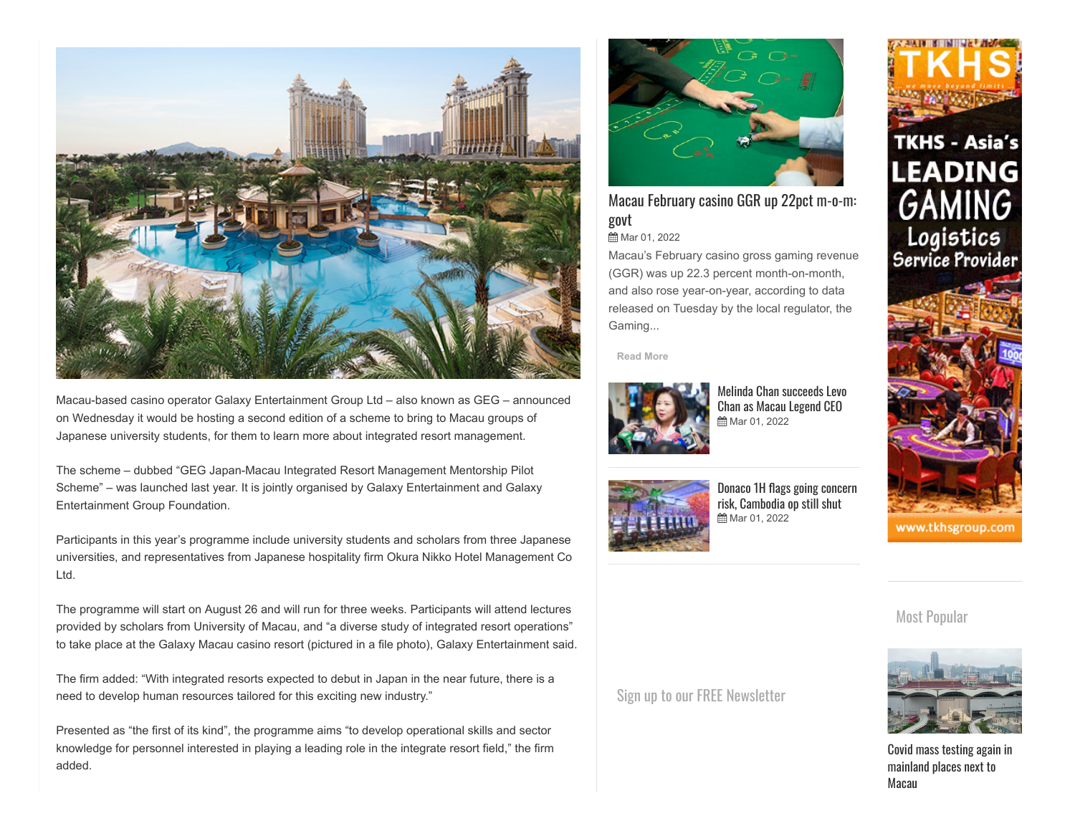

Macau-based casino operator Galaxy Entertainment Group Ltd – also known as GEG – announced on Wednesday it would be hosting a second edition of a scheme to bring to Macau groups of Japanese university students, for them to learn more about integrated resort management.

The scheme – dubbed "GEG Japan-Macau Integrated Resort Management Mentorship Pilot Scheme" – was launched last year. It is jointly organised by Galaxy Entertainment and Galaxy Entertainment Group Foundation.

Participants in this year's programme include university students and scholars from three Japanese universities, and representatives from Japanese hospitality firm Okura Nikko Hotel Management Co Ltd.

The programme will start on August 26 and will run for three weeks. Participants will attend lectures provided by scholars from University of Macau, and "a diverse study of integrated resort operations" to take place at the Galaxy Macau casino resort (pictured in a file photo), Galaxy Entertainment said.

The firm added: "With integrated resorts expected to debut in Japan in the near future, there is a need to develop human resources tailored for this exciting new industry."

Presented as "the first of its kind", the programme aims "to develop operational skills and sector knowledge for personnel interested in playing a leading role in the integrate resort field," the firm added.



## Macau [February casino](https://www.ggrasia.com/macau-february-casino-ggr-up-22pct-m-o-m-govt/) GGR up 22pct m-o-m: govt

**前 Mar 01, 2022** 

Macau's February casino gross gaming revenue (GGR) was up 22.3 percent month-on-month, and also rose year-on-year, according to data released on Tuesday by the local regulator, the Gaming...

**[Read More](https://www.ggrasia.com/macau-february-casino-ggr-up-22pct-m-o-m-govt/)**



[M](https://www.ggrasia.com/melinda-chan-succeeds-levo-chan-as-macau-legend-ceo/)elinda Chan [succeeds](https://www.ggrasia.com/melinda-chan-succeeds-levo-chan-as-macau-legend-ceo/) Levo Chan as Macau Legend CEO **曲** Mar 01, 2022



[Donaco 1H](https://www.ggrasia.com/donaco-1h-flags-going-concern-risk-cambodia-op-still-shut/) flags going concern risk, Cambodia op still shut **曲 Mar 01, 2022** 



www.tkhsgroup.com

### Most Popular



Covid mass testing again in [mainland](https://www.ggrasia.com/covid-mass-testing-again-in-mainland-places-next-to-macau/) places next to Macau

Sign up to our FREE [Newsletter](http://eepurl.com/UB8V5)